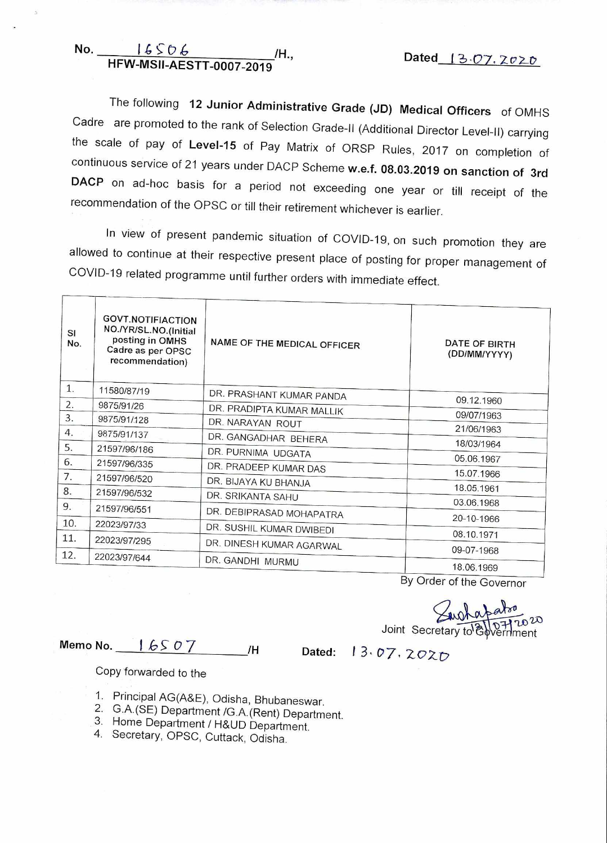**No.** <u>16506</u> /H., **HFW-MSII-AESTT-0007-2019 11.**, **Dated** 13.07.2020

The following **12 Junior Administrative Grade (JD) Medical Officers** of OMHS Cadre are promoted to the rank of Selection Grade-II (Additional Director Level-II) carrying the scale of pay of **Level-15** of Pay Matrix of ORSP Rules, 2017 on completion of continuous service of 21 years under DACP Scheme **w.e.f. 08.03.2019 on sanction of 3rd DACP** on ad-hoc basis for a period not exceeding one year or till receipt of the recommendation of the OPSC or till their retirement whichever is earlier.

In view of present pandemic situation of COVID-19, on such promotion they are allowed to continue at their respective present place of posting for proper management of COVID-19 related programme until further orders with immediate effect.

| SI<br>No. | <b>GOVT.NOTIFIACTION</b><br>NO./YR/SL.NO.(Initial<br>posting in OMHS<br>Cadre as per OPSC<br>recommendation) | NAME OF THE MEDICAL OFFICER | DATE OF BIRTH<br>(DD/MM/YYYY) |
|-----------|--------------------------------------------------------------------------------------------------------------|-----------------------------|-------------------------------|
| 1.        | 11580/87/19                                                                                                  | DR. PRASHANT KUMAR PANDA    |                               |
| 2.        | 9875/91/26                                                                                                   | DR. PRADIPTA KUMAR MALLIK   | 09.12.1960                    |
| 3.        | 9875/91/128                                                                                                  | DR. NARAYAN ROUT            | 09/07/1963                    |
| 4.        | 9875/91/137                                                                                                  | DR. GANGADHAR BEHERA        | 21/06/1963                    |
| 5.        | 21597/96/186                                                                                                 | DR. PURNIMA UDGATA          | 18/03/1964                    |
| 6.        | 21597/96/335                                                                                                 |                             | 05.06.1967                    |
| 7.        | 21597/96/520                                                                                                 | DR. PRADEEP KUMAR DAS       | 15.07.1966                    |
| 8.        | 21597/96/532                                                                                                 | DR. BIJAYA KU BHANJA        | 18.05.1961                    |
| 9.        |                                                                                                              | DR. SRIKANTA SAHU           | 03.06.1968                    |
|           | 21597/96/551                                                                                                 | DR. DEBIPRASAD MOHAPATRA    | 20-10-1966                    |
| 10.       | 22023/97/33                                                                                                  | DR. SUSHIL KUMAR DWIBEDI    |                               |
| 11.       | 22023/97/295                                                                                                 | DR. DINESH KUMAR AGARWAL    | 08.10.1971                    |
| 12.       | 22023/97/644                                                                                                 |                             | 09-07-1968                    |
|           |                                                                                                              | DR. GANDHI MURMU            | 18.06.1969                    |

By Order of the Governor

Joint Secretary to<sup>1</sup>O Polentment

**Memo No.** | 65 0 7 /H Dated: 13.07.2020

Copy forwarded to the

- 1. Principal AG(A&E), Odisha, Bhubaneswar.
- 2. G.A.(SE) Department /G.A.(Rent) Department.
- 3. Home Department / H&UD Department.
- 4. Secretary, OPSC, Cuttack, Odisha.